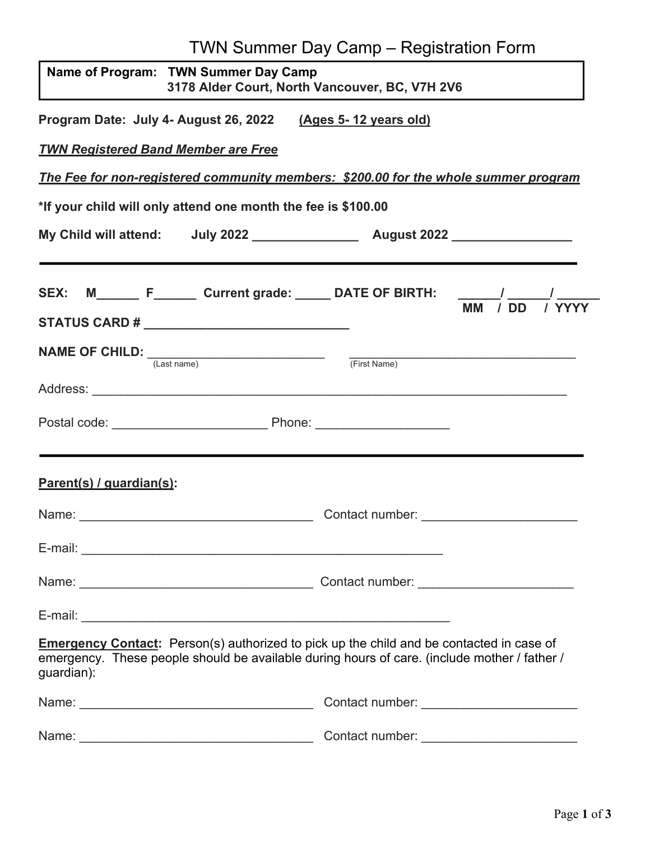|                                                                                                                                                                                                               | <b>TWN Summer Day Camp - Registration Form</b> |  |
|---------------------------------------------------------------------------------------------------------------------------------------------------------------------------------------------------------------|------------------------------------------------|--|
| Name of Program: TWN Summer Day Camp                                                                                                                                                                          | 3178 Alder Court, North Vancouver, BC, V7H 2V6 |  |
| Program Date: July 4- August 26, 2022 (Ages 5-12 years old)                                                                                                                                                   |                                                |  |
| <b>TWN Registered Band Member are Free</b>                                                                                                                                                                    |                                                |  |
| The Fee for non-registered community members: \$200.00 for the whole summer program                                                                                                                           |                                                |  |
| *If your child will only attend one month the fee is \$100.00                                                                                                                                                 |                                                |  |
|                                                                                                                                                                                                               |                                                |  |
| SEX: M_______ F_______ Current grade: ______ DATE OF BIRTH: $\frac{1}{MM}$ / DD /                                                                                                                             |                                                |  |
| STATUS CARD # _________________________________                                                                                                                                                               |                                                |  |
| NAME OF CHILD: $\frac{1}{(Last name)}$                                                                                                                                                                        | (First Name)                                   |  |
|                                                                                                                                                                                                               |                                                |  |
|                                                                                                                                                                                                               |                                                |  |
| Parent(s) / guardian(s):                                                                                                                                                                                      |                                                |  |
| Name:                                                                                                                                                                                                         | Contact number:                                |  |
|                                                                                                                                                                                                               |                                                |  |
|                                                                                                                                                                                                               |                                                |  |
|                                                                                                                                                                                                               |                                                |  |
| <b>Emergency Contact:</b> Person(s) authorized to pick up the child and be contacted in case of<br>emergency. These people should be available during hours of care. (include mother / father /<br>guardian): |                                                |  |
|                                                                                                                                                                                                               |                                                |  |
| Name:                                                                                                                                                                                                         | Contact number:                                |  |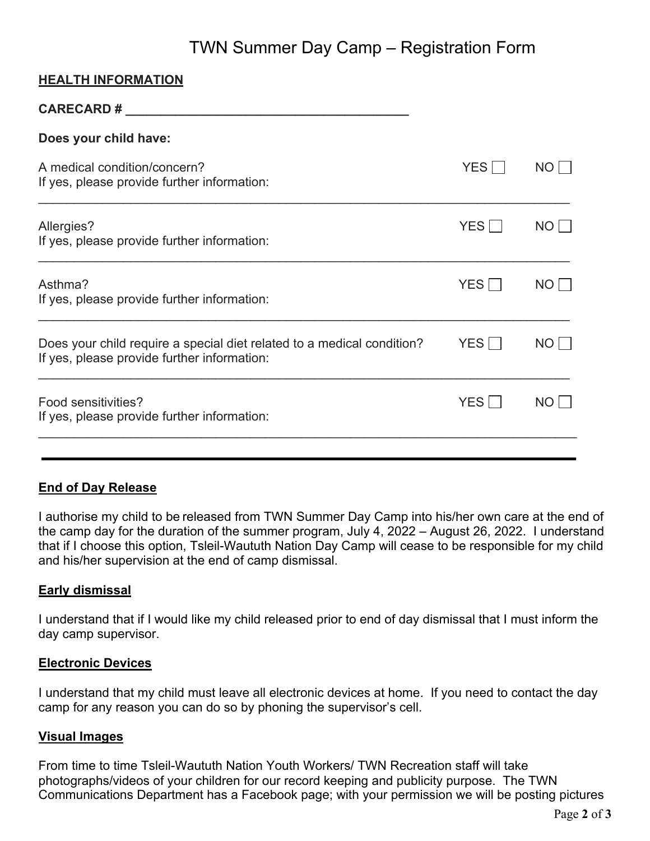# TWN Summer Day Camp – Registration Form 2

## **HEALTH INFORMATION**

| <b>CARECARD#</b>                                                                                                      |            |      |
|-----------------------------------------------------------------------------------------------------------------------|------------|------|
| Does your child have:                                                                                                 |            |      |
| A medical condition/concern?<br>If yes, please provide further information:                                           | <b>YES</b> | NO L |
| Allergies?<br>If yes, please provide further information:                                                             | <b>YES</b> | NO   |
| Asthma?<br>If yes, please provide further information:                                                                | YES        | NO.  |
| Does your child require a special diet related to a medical condition?<br>If yes, please provide further information: | YES        | NO L |
| Food sensitivities?<br>If yes, please provide further information:                                                    | YES        | NO.  |
|                                                                                                                       |            |      |

## **End of Day Release**

I authorise my child to be released from TWN Summer Day Camp into his/her own care at the end of the camp day for the duration of the summer program, July 4, 2022 – August 26, 2022. I understand that if I choose this option, Tsleil-Waututh Nation Day Camp will cease to be responsible for my child and his/her supervision at the end of camp dismissal.

## **Early dismissal**

I understand that if I would like my child released prior to end of day dismissal that I must inform the day camp supervisor.

#### **Electronic Devices**

I understand that my child must leave all electronic devices at home. If you need to contact the day camp for any reason you can do so by phoning the supervisor's cell.

#### **Visual Images**

From time to time Tsleil-Waututh Nation Youth Workers/ TWN Recreation staff will take photographs/videos of your children for our record keeping and publicity purpose. The TWN Communications Department has a Facebook page; with your permission we will be posting pictures